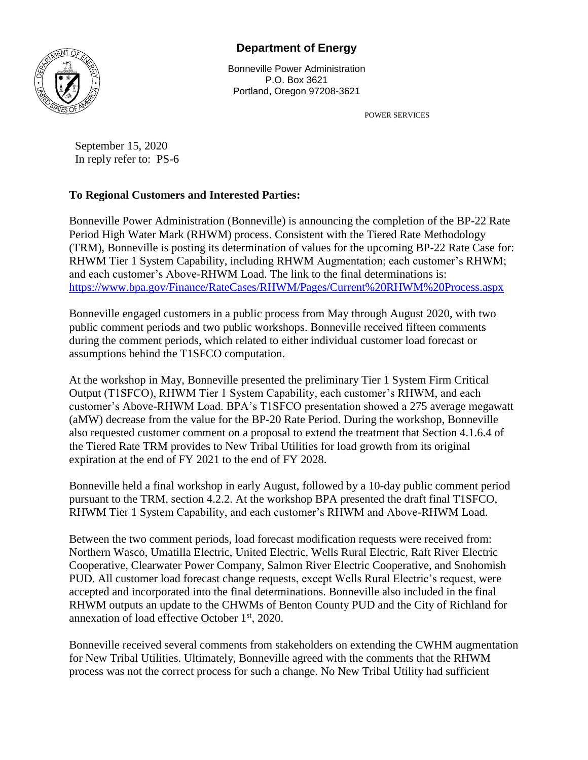## **Department of Energy**



Bonneville Power Administration P.O. Box 3621 Portland, Oregon 97208-3621

POWER SERVICES

September 15, 2020 In reply refer to: PS-6

## **To Regional Customers and Interested Parties:**

Bonneville Power Administration (Bonneville) is announcing the completion of the BP-22 Rate Period High Water Mark (RHWM) process. Consistent with the Tiered Rate Methodology (TRM), Bonneville is posting its determination of values for the upcoming BP-22 Rate Case for: RHWM Tier 1 System Capability, including RHWM Augmentation; each customer's RHWM; and each customer's Above-RHWM Load. The link to the final determinations is: <https://www.bpa.gov/Finance/RateCases/RHWM/Pages/Current%20RHWM%20Process.aspx>

Bonneville engaged customers in a public process from May through August 2020, with two public comment periods and two public workshops. Bonneville received fifteen comments during the comment periods, which related to either individual customer load forecast or assumptions behind the T1SFCO computation.

At the workshop in May, Bonneville presented the preliminary Tier 1 System Firm Critical Output (T1SFCO), RHWM Tier 1 System Capability, each customer's RHWM, and each customer's Above-RHWM Load. BPA's T1SFCO presentation showed a 275 average megawatt (aMW) decrease from the value for the BP-20 Rate Period. During the workshop, Bonneville also requested customer comment on a proposal to extend the treatment that Section 4.1.6.4 of the Tiered Rate TRM provides to New Tribal Utilities for load growth from its original expiration at the end of FY 2021 to the end of FY 2028.

Bonneville held a final workshop in early August, followed by a 10-day public comment period pursuant to the TRM, section 4.2.2. At the workshop BPA presented the draft final T1SFCO, RHWM Tier 1 System Capability, and each customer's RHWM and Above-RHWM Load.

Between the two comment periods, load forecast modification requests were received from: Northern Wasco, Umatilla Electric, United Electric, Wells Rural Electric, Raft River Electric Cooperative, Clearwater Power Company, Salmon River Electric Cooperative, and Snohomish PUD. All customer load forecast change requests, except Wells Rural Electric's request, were accepted and incorporated into the final determinations. Bonneville also included in the final RHWM outputs an update to the CHWMs of Benton County PUD and the City of Richland for annexation of load effective October 1st, 2020.

Bonneville received several comments from stakeholders on extending the CWHM augmentation for New Tribal Utilities. Ultimately, Bonneville agreed with the comments that the RHWM process was not the correct process for such a change. No New Tribal Utility had sufficient